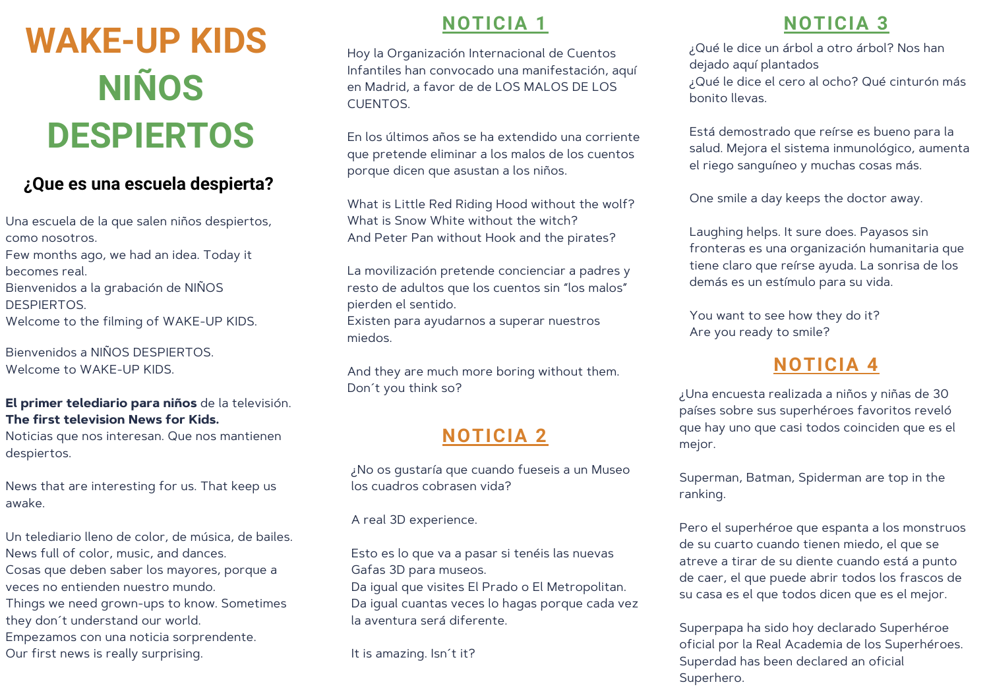# **WAKE-UP KIDS NIÑOS DESPIERTOS**

### **¿Que es una escuela despierta?**

Una escuela de la que salen niños despiertos, como nosotros. Few months ago, we had an idea. Today it becomes real. Bienvenidos a la grabación de NIÑOS **DESPIERTOS** Welcome to the filming of WAKE-UP KIDS.

Bienvenidos a NIÑOS DESPIERTOS. Welcome to WAKE-UP KIDS.

#### **El primer telediario para niños** de la televisión. **The first television News for Kids.**

Noticias que nos interesan. Que nos mantienen despiertos.

News that are interesting for us. That keep us awake.

Un telediario lleno de color, de música, de bailes. News full of color, music, and dances. Cosas que deben saber los mayores, porque a veces no entienden nuestro mundo. Things we need grown-ups to know. Sometimes they don´t understand our world. Empezamos con una noticia sorprendente. Our first news is really surprising.

# **NOTICIA 1**

Hoy la Organización Internacional de Cuentos Infantiles han convocado una manifestación, aquí en Madrid, a favor de de LOS MALOS DE LOS CUENTOS.

En los últimos años se ha extendido una corriente que pretende eliminar a los malos de los cuentos porque dicen que asustan a los niños.

What is Little Red Riding Hood without the wolf? What is Snow White without the witch? And Peter Pan without Hook and the pirates?

La movilización pretende concienciar a padres y resto de adultos que los cuentos sin "los malos" pierden el sentido.

Existen para ayudarnos a superar nuestros miedos.

And they are much more boring without them. Don´t you think so?

# **NOTICIA 2**

¿No os gustaría que cuando fueseis a un Museo los cuadros cobrasen vida?

A real 3D experience.

Esto es lo que va a pasar si tenéis las nuevas Gafas 3D para museos. Da igual que visites El Prado o El Metropolitan. Da igual cuantas veces lo hagas porque cada vez la aventura será diferente.

It is amazing. Isn´t it?

# **NOTICIA 3**

¿Qué le dice un árbol a otro árbol? Nos han dejado aquí plantados ¿Qué le dice el cero al ocho? Qué cinturón más bonito llevas.

Está demostrado que reírse es bueno para la salud. Mejora el sistema inmunológico, aumenta el riego sanguíneo y muchas cosas más.

One smile a day keeps the doctor away.

Laughing helps. It sure does. Payasos sin fronteras es una organización humanitaria que tiene claro que reírse ayuda. La sonrisa de los demás es un estímulo para su vida.

You want to see how they do it? Are you ready to smile?

# **NOTICIA 4**

¿Una encuesta realizada a niños y niñas de 30 países sobre sus superhéroes favoritos reveló que hay uno que casi todos coinciden que es el mejor.

Superman, Batman, Spiderman are top in the ranking.

Pero el superhéroe que espanta a los monstruos de su cuarto cuando tienen miedo, el que se atreve a tirar de su diente cuando está a punto de caer, el que puede abrir todos los frascos de su casa es el que todos dicen que es el mejor.

Superpapa ha sido hoy declarado Superhéroe oficial por la Real Academia de los Superhéroes. Superdad has been declared an oficial Superhero.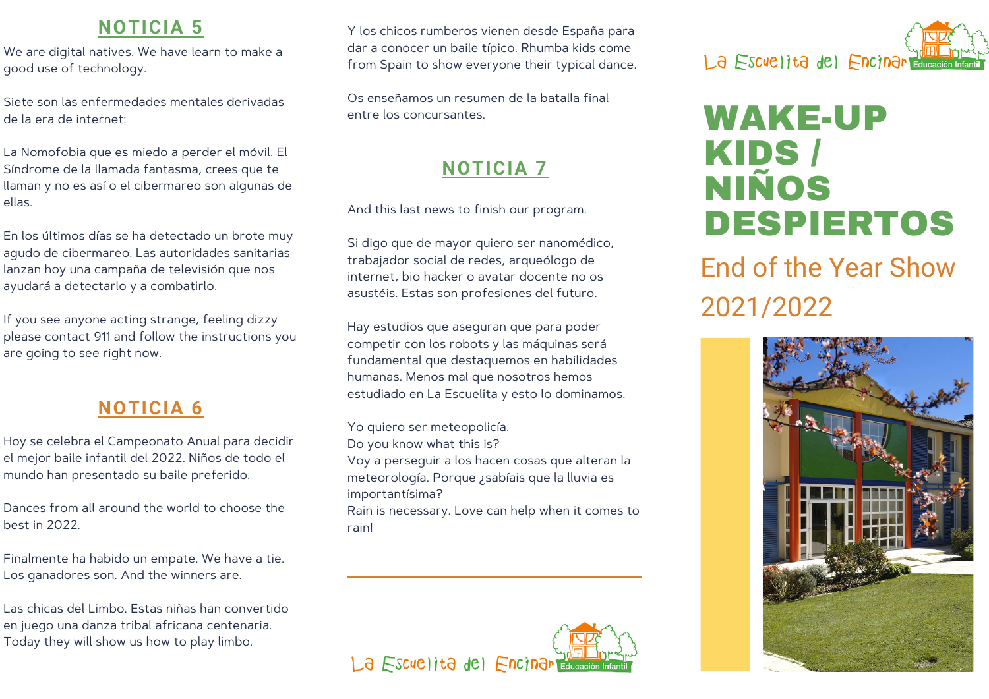# **NOTICIA 5**

We are digital natives. We have learn to make a good use of technology.

Siete son las enfermedades mentales derivadas de la era de internet:

La Nomofobia que es miedo a perder el móvil. El Síndrome de la llamada fantasma, crees que te llaman y no es así o el cibermareo son algunas de ellas.

En los últimos días se ha detectado un brote muy agudo de cibermareo. Las autoridades sanitarias lanzan hoy una campaña de televisión que nos ayudará a detectarlo y a combatirlo.

If you see anyone acting strange, feeling dizzy please contact 911 and follow the instructions you are going to see right now.

# **NOTICIA 6**

Hoy se celebra el Campeonato Anual para decidir el mejor baile infantil del 2022. Niños de todo el mundo han presentado su baile preferido.

Dances from all around the world to choose the best in 2022.

Finalmente ha habido un empate. We have a tie. Los ganadores son. And the winners are.

Las chicas del Limbo. Estas niñas han convertido en juego una danza tribal africana centenaria. Today they will show us how to play limbo.

Y los chicos rumberos vienen desde España para dar a conocer un baile típico. Rhumba kids come from Spain to show everyone their typical dance.

Os enseñamos un resumen de la batalla final entre los concursantes.

# **NOTICIA 7**

And this last news to finish our program.

Si digo que de mayor quiero ser nanomédico, trabajador social de redes, arqueólogo de internet, bio hacker o avatar docente no os asustéis. Estas son profesiones del futuro.

Hay estudios que aseguran que para poder competir con los robots y las máquinas será fundamental que destaquemos en habilidades humanas. Menos mal que nosotros hemos estudiado en La Escuelita y esto lo dominamos.

Yo quiero ser meteopolicía. Do you know what this is? Voy a perseguir a los hacen cosas que alteran la meteorología. Porque ¿sabíais que la lluvia es importantísima? Rain is necessary. Love can help when it comes to rain!





# WAKE-UP KIDS / NIÑOS DESPIERTOS

End of the Year Show 2021/2022

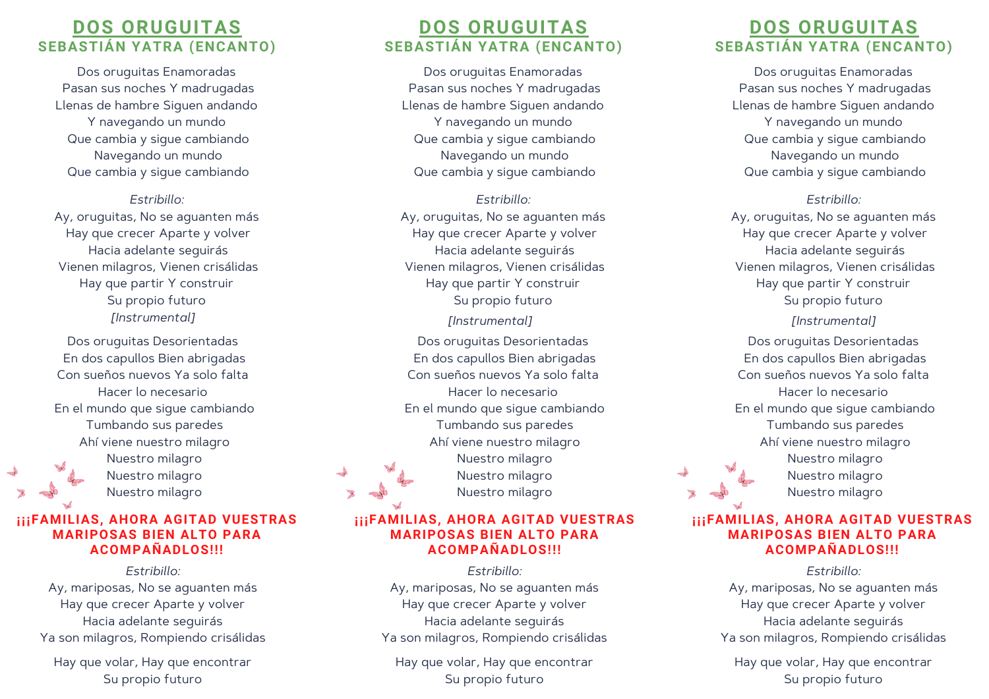#### **DOS ORUGUITAS SEBASTIÁN YATRA (ENCANTO)**

Dos oruguitas Enamoradas Pasan sus noches Y madrugadas Llenas de hambre Siguen andando Y navegando un mundo Que cambia y sigue cambiando Navegando un mundo Que cambia y sigue cambiando

#### *Estribillo:*

Ay, oruguitas, No se aguanten más Hay que crecer Aparte y volver Hacia adelante seguirás Vienen milagros, Vienen crisálidas Hay que partir Y construir Su propio futuro *[Instrumental]*

Dos oruguitas Desorientadas En dos capullos Bien abrigadas Con sueños nuevos Ya solo falta Hacer lo necesario En el mundo que sigue cambiando Tumbando sus paredes Ahí viene nuestro milagro Nuestro milagro Nuestro milagro Nuestro milagro

#### **¡¡¡FAMILIAS, AHORA AGITAD VUESTRAS MARIPOSAS BIEN ALTO PARA ACOMPAÑADLOS!!!**

*Estribillo:* Ay, mariposas, No se aguanten más Hay que crecer Aparte y volver Hacia adelante seguirás Ya son milagros, Rompiendo crisálidas

Hay que volar, Hay que encontrar Su propio futuro

#### **DOS ORUGUITAS SEBASTIÁN YATRA (ENCANTO)**

Dos oruguitas Enamoradas Pasan sus noches Y madrugadas Llenas de hambre Siguen andando Y navegando un mundo Que cambia y sigue cambiando Navegando un mundo Que cambia y sigue cambiando

*Estribillo:* Ay, oruguitas, No se aguanten más Hay que crecer Aparte y volver Hacia adelante seguirás Vienen milagros, Vienen crisálidas Hay que partir Y construir Su propio futuro *[Instrumental]*

Dos oruguitas Desorientadas En dos capullos Bien abrigadas Con sueños nuevos Ya solo falta Hacer lo necesario En el mundo que sigue cambiando Tumbando sus paredes Ahí viene nuestro milagro Nuestro milagro Nuestro milagro Nuestro milagro

#### **¡¡¡FAMILIAS, AHORA AGITAD VUESTRAS MARIPOSAS BIEN ALTO PARA ACOMPAÑADLOS!!!**

*Estribillo:* Ay, mariposas, No se aguanten más Hay que crecer Aparte y volver Hacia adelante seguirás Ya son milagros, Rompiendo crisálidas

Hay que volar, Hay que encontrar Su propio futuro

#### **DOS ORUGUITAS SEBASTIÁN YATRA (ENCANTO)**

Dos oruguitas Enamoradas Pasan sus noches Y madrugadas Llenas de hambre Siguen andando Y navegando un mundo Que cambia y sigue cambiando Navegando un mundo Que cambia y sigue cambiando

#### *Estribillo:*

Ay, oruguitas, No se aguanten más Hay que crecer Aparte y volver Hacia adelante seguirás Vienen milagros, Vienen crisálidas Hay que partir Y construir Su propio futuro *[Instrumental]*

Dos oruguitas Desorientadas En dos capullos Bien abrigadas Con sueños nuevos Ya solo falta Hacer lo necesario En el mundo que sigue cambiando Tumbando sus paredes Ahí viene nuestro milagro Nuestro milagro Nuestro milagro Nuestro milagro

#### **¡¡¡FAMILIAS, AHORA AGITAD VUESTRAS MARIPOSAS BIEN ALTO PARA ACOMPAÑADLOS!!!**

*Estribillo:* Ay, mariposas, No se aguanten más Hay que crecer Aparte y volver Hacia adelante seguirás Ya son milagros, Rompiendo crisálidas

Hay que volar, Hay que encontrar Su propio futuro